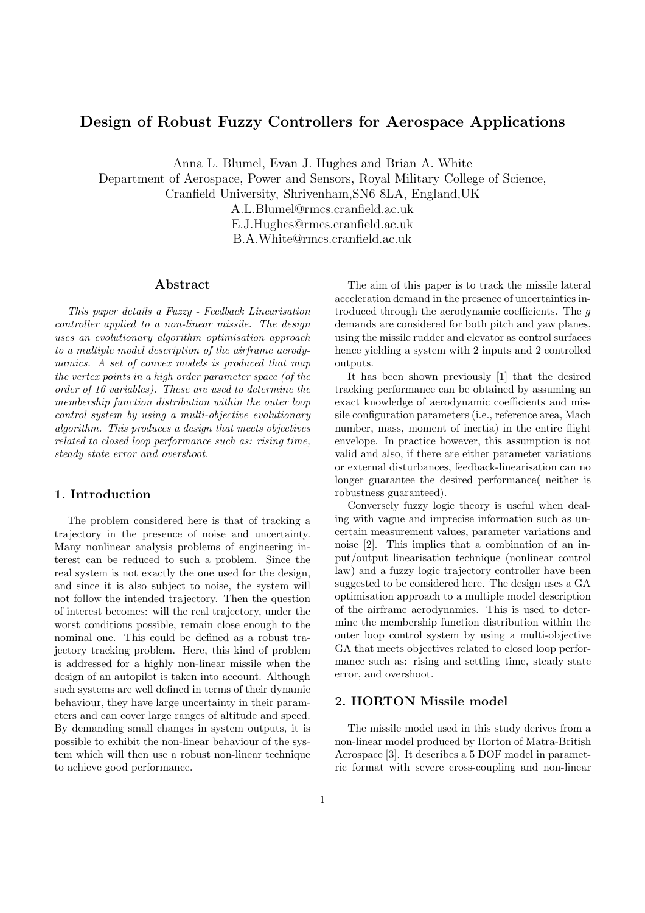# Design of Robust Fuzzy Controllers for Aerospace Applications

Anna L. Blumel, Evan J. Hughes and Brian A. White

Department of Aerospace, Power and Sensors, Royal Military College of Science,

Cranfield University, Shrivenham,SN6 8LA, England,UK

A.L.Blumel@rmcs.cranfield.ac.uk E.J.Hughes@rmcs.cranfield.ac.uk

B.A.White@rmcs.cranfield.ac.uk

#### Abstract

*This paper details a Fuzzy - Feedback Linearisation controller applied to a non-linear missile. The design uses an evolutionary algorithm optimisation approach to a multiple model description of the airframe aerodynamics. A set of convex models is produced that map the vertex points in a high order parameter space (of the order of 16 variables). These are used to determine the membership function distribution within the outer loop control system by using a multi-objective evolutionary algorithm. This produces a design that meets objectives related to closed loop performance such as: rising time, steady state error and overshoot.*

### 1. Introduction

The problem considered here is that of tracking a trajectory in the presence of noise and uncertainty. Many nonlinear analysis problems of engineering interest can be reduced to such a problem. Since the real system is not exactly the one used for the design, and since it is also subject to noise, the system will not follow the intended trajectory. Then the question of interest becomes: will the real trajectory, under the worst conditions possible, remain close enough to the nominal one. This could be defined as a robust trajectory tracking problem. Here, this kind of problem is addressed for a highly non-linear missile when the design of an autopilot is taken into account. Although such systems are well defined in terms of their dynamic behaviour, they have large uncertainty in their parameters and can cover large ranges of altitude and speed. By demanding small changes in system outputs, it is possible to exhibit the non-linear behaviour of the system which will then use a robust non-linear technique to achieve good performance.

The aim of this paper is to track the missile lateral acceleration demand in the presence of uncertainties introduced through the aerodynamic coefficients. The  $q$ demands are considered for both pitch and yaw planes, using the missile rudder and elevator as control surfaces hence yielding a system with 2 inputs and 2 controlled outputs.

It has been shown previously [1] that the desired tracking performance can be obtained by assuming an exact knowledge of aerodynamic coefficients and missile configuration parameters (i.e., reference area, Mach number, mass, moment of inertia) in the entire flight envelope. In practice however, this assumption is not valid and also, if there are either parameter variations or external disturbances, feedback-linearisation can no longer guarantee the desired performance( neither is robustness guaranteed).

Conversely fuzzy logic theory is useful when dealing with vague and imprecise information such as uncertain measurement values, parameter variations and noise [2]. This implies that a combination of an input/output linearisation technique (nonlinear control law) and a fuzzy logic trajectory controller have been suggested to be considered here. The design uses a GA optimisation approach to a multiple model description of the airframe aerodynamics. This is used to determine the membership function distribution within the outer loop control system by using a multi-objective GA that meets objectives related to closed loop performance such as: rising and settling time, steady state error, and overshoot.

#### 2. HORTON Missile model

The missile model used in this study derives from a non-linear model produced by Horton of Matra-British Aerospace [3]. It describes a 5 DOF model in parametric format with severe cross-coupling and non-linear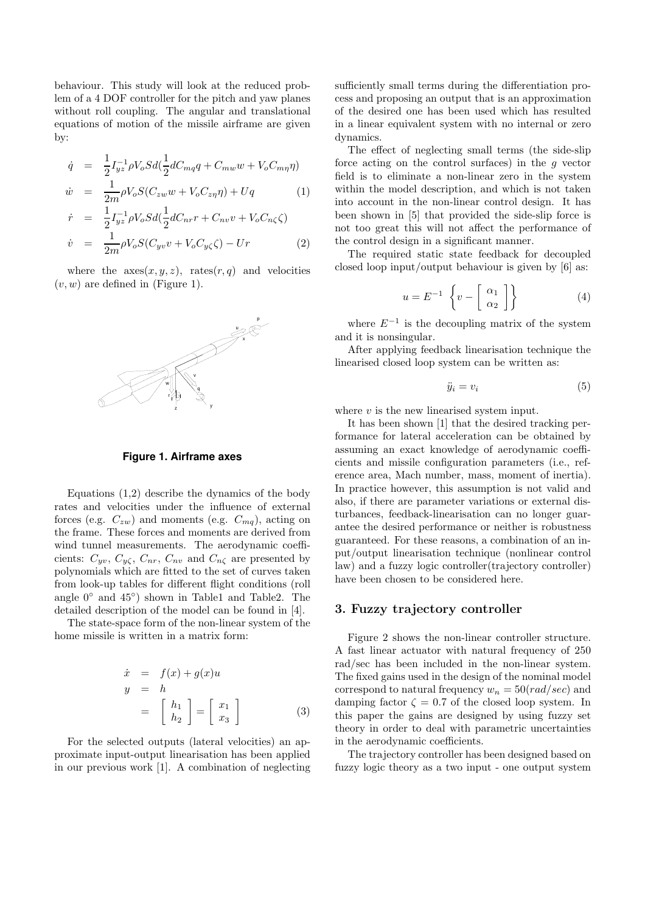behaviour. This study will look at the reduced problem of a 4 DOF controller for the pitch and yaw planes without roll coupling. The angular and translational equations of motion of the missile airframe are given by:

$$
\dot{q} = \frac{1}{2} I_{yz}^{-1} \rho V_o S d(\frac{1}{2} dC_{mq} q + C_{mw} w + V_o C_{m\eta} \eta)
$$
  
\n
$$
\dot{w} = \frac{1}{2m} \rho V_o S (C_{zw} w + V_o C_{z\eta} \eta) + Uq
$$
 (1)  
\n
$$
\dot{r} = \frac{1}{2} I^{-1} \rho V_s S d(\frac{1}{2} dC_{rr} + C_{rr} v + V C_{rr} \eta)
$$

$$
\dot{r} = \frac{1}{2} I_{yz}^{-1} \rho V_o S d(\frac{1}{2} dC_{nr} r + C_{nv} v + V_o C_{n\zeta} \zeta)
$$
  
\n
$$
\dot{v} = \frac{1}{2m} \rho V_o S (C_{yv} v + V_o C_{y\zeta} \zeta) - Ur
$$
 (2)

where the  $axes(x, y, z)$ , rates $(r, q)$  and velocities  $(v, w)$  are defined in (Figure 1).



**Figure 1. Airframe axes**

Equations (1,2) describe the dynamics of the body rates and velocities under the influence of external forces (e.g.  $C_{zw}$ ) and moments (e.g.  $C_{mq}$ ), acting on the frame. These forces and moments are derived from wind tunnel measurements. The aerodynamic coefficients:  $C_{yv}$ ,  $C_{y\zeta}$ ,  $C_{nr}$ ,  $C_{nv}$  and  $C_{n\zeta}$  are presented by polynomials which are fitted to the set of curves taken from look-up tables for different flight conditions (roll angle  $0°$  and  $45°$ ) shown in Table1 and Table2. The detailed description of the model can be found in [4].

The state-space form of the non-linear system of the home missile is written in a matrix form:

$$
\begin{array}{rcl}\n\dot{x} & = & f(x) + g(x)u \\
y & = & h \\
& = & \left[\begin{array}{c} h_1 \\ h_2 \end{array}\right] = \left[\begin{array}{c} x_1 \\ x_3 \end{array}\right]\n\end{array} \tag{3}
$$

For the selected outputs (lateral velocities) an approximate input-output linearisation has been applied in our previous work [1]. A combination of neglecting sufficiently small terms during the differentiation process and proposing an output that is an approximation of the desired one has been used which has resulted in a linear equivalent system with no internal or zero dynamics.

The effect of neglecting small terms (the side-slip force acting on the control surfaces) in the  $q$  vector field is to eliminate a non-linear zero in the system within the model description, and which is not taken into account in the non-linear control design. It has been shown in [5] that provided the side-slip force is not too great this will not affect the performance of the control design in a significant manner.

The required static state feedback for decoupled closed loop input/output behaviour is given by [6] as:

$$
u = E^{-1} \left\{ v - \begin{bmatrix} \alpha_1 \\ \alpha_2 \end{bmatrix} \right\}
$$
 (4)

where  $E^{-1}$  is the decoupling matrix of the system and it is nonsingular.

After applying feedback linearisation technique the linearised closed loop system can be written as:

$$
\ddot{y}_i = v_i \tag{5}
$$

where  $v$  is the new linearised system input.

It has been shown [1] that the desired tracking performance for lateral acceleration can be obtained by assuming an exact knowledge of aerodynamic coefficients and missile configuration parameters (i.e., reference area, Mach number, mass, moment of inertia). In practice however, this assumption is not valid and also, if there are parameter variations or external disturbances, feedback-linearisation can no longer guarantee the desired performance or neither is robustness guaranteed. For these reasons, a combination of an input/output linearisation technique (nonlinear control law) and a fuzzy logic controller(trajectory controller) have been chosen to be considered here.

#### 3. Fuzzy trajectory controller

Figure 2 shows the non-linear controller structure. A fast linear actuator with natural frequency of 250 rad/sec has been included in the non-linear system. The fixed gains used in the design of the nominal model correspond to natural frequency  $w_n = 50(rad/sec)$  and damping factor  $\zeta = 0.7$  of the closed loop system. In this paper the gains are designed by using fuzzy set theory in order to deal with parametric uncertainties in the aerodynamic coefficients.

The trajectory controller has been designed based on fuzzy logic theory as a two input - one output system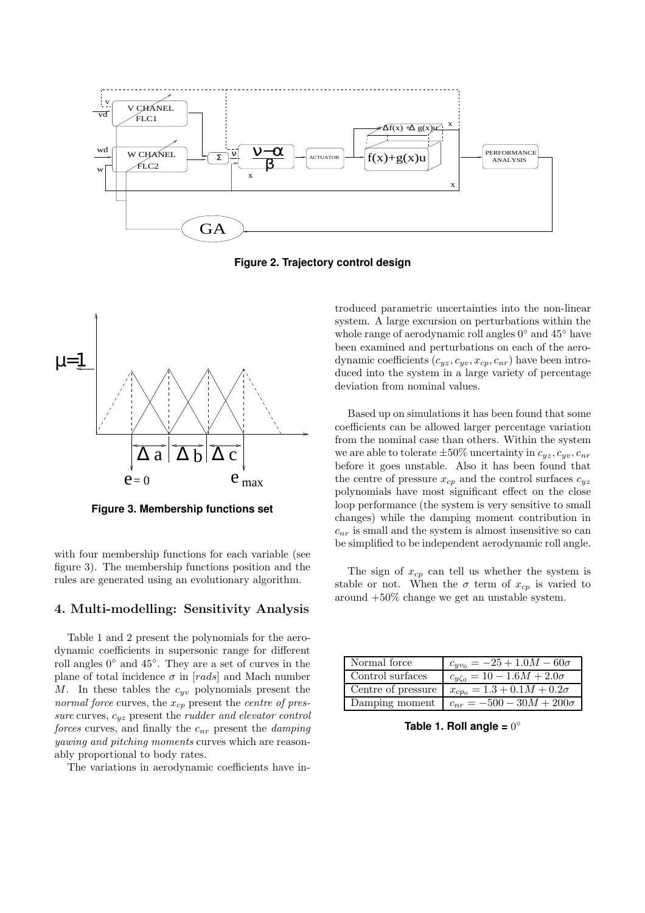

**Figure 2. Trajectory control design**



**Figure 3. Membership functions set**

with four membership functions for each variable (see figure 3). The membership functions position and the rules are generated using an evolutionary algorithm.

### 4. Multi-modelling: Sensitivity Analysis

Table 1 and 2 present the polynomials for the aerodynamic coefficients in supersonic range for different roll angles 0◦ and 45◦ . They are a set of curves in the plane of total incidence  $\sigma$  in [rads] and Mach number M. In these tables the  $c_{uv}$  polynomials present the *normal force* curves, the  $x_{cp}$  present the *centre of pressure* curves, cyz present the *rudder and elevator control forces* curves, and finally the  $c_{nr}$  present the *damping yawing and pitching moments* curves which are reasonably proportional to body rates.

The variations in aerodynamic coefficients have in-

troduced parametric uncertainties into the non-linear system. A large excursion on perturbations within the whole range of aerodynamic roll angles 0◦ and 45◦ have been examined and perturbations on each of the aerodynamic coefficients  $(c_{yz}, c_{yv}, x_{cp}, c_{nr})$  have been introduced into the system in a large variety of percentage deviation from nominal values.

Based up on simulations it has been found that some coefficients can be allowed larger percentage variation from the nominal case than others. Within the system we are able to tolerate  $\pm 50\%$  uncertainty in  $c_{uz}, c_{uv}, c_{nr}$ before it goes unstable. Also it has been found that the centre of pressure  $x_{cp}$  and the control surfaces  $c_{yz}$ polynomials have most significant effect on the close loop performance (the system is very sensitive to small changes) while the damping moment contribution in  $c_{nr}$  is small and the system is almost insensitive so can be simplified to be independent aerodynamic roll angle.

The sign of  $x_{cp}$  can tell us whether the system is stable or not. When the  $\sigma$  term of  $x_{cp}$  is varied to around  $+50\%$  change we get an unstable system.

| Normal force     | $c_{\mu\nu_0} = -25 + 1.0M - 60\sigma$                          |
|------------------|-----------------------------------------------------------------|
| Control surfaces | $c_{y\zeta_0} = 10 - 1.6M + 2.\overline{0\sigma}$               |
|                  | Centre of pressure $x_{cp_0} = 1.3 + 0.1M + 0.2\sigma$          |
|                  | Damping moment $\left  c_{nr} = -500 - 30M + 200\sigma \right $ |

**Table 1. Roll angle =** 0 ◦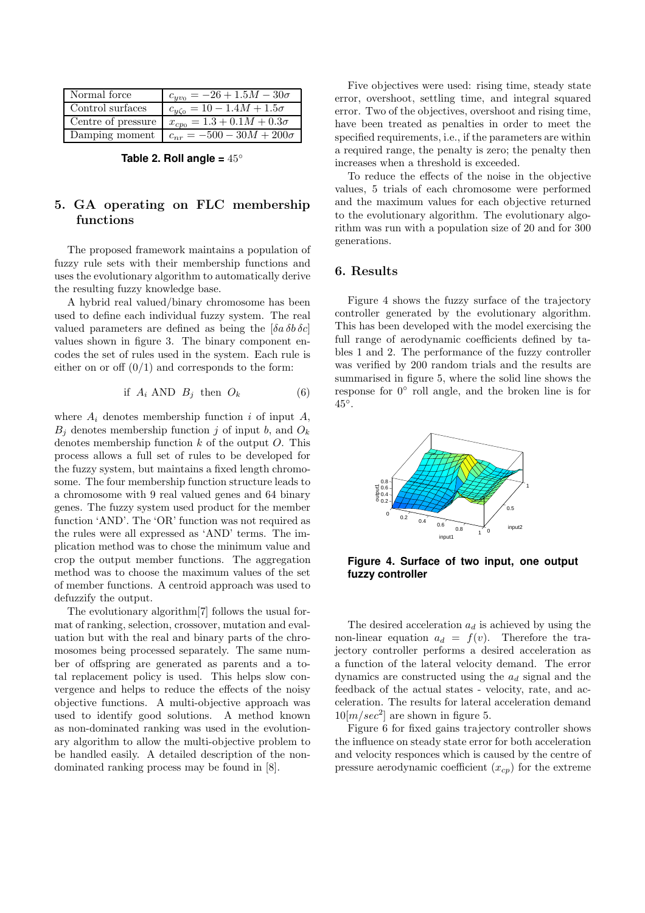| Normal force       | $c_{\psi v_0} = -26 + 1.5M - 30\sigma$           |
|--------------------|--------------------------------------------------|
| Control surfaces   | $c_{\psi \zeta_0} = 10 - 1.4M + 1.5\sigma$       |
| Centre of pressure | $x_{cp_0} = 1.3 + 0.1M + 0.3\sigma$              |
|                    | Damping moment $c_{nr} = -500 - 30M + 200\sigma$ |

**Table 2. Roll angle =** 45◦

## 5. GA operating on FLC membership functions

The proposed framework maintains a population of fuzzy rule sets with their membership functions and uses the evolutionary algorithm to automatically derive the resulting fuzzy knowledge base.

A hybrid real valued/binary chromosome has been used to define each individual fuzzy system. The real valued parameters are defined as being the  $[\delta a \delta b \delta c]$ values shown in figure 3. The binary component encodes the set of rules used in the system. Each rule is either on or off  $(0/1)$  and corresponds to the form:

if 
$$
A_i
$$
 AND  $B_j$  then  $O_k$  (6)

where  $A_i$  denotes membership function i of input  $A_i$ ,  $B_i$  denotes membership function j of input b, and  $O_k$ denotes membership function  $k$  of the output  $O$ . This process allows a full set of rules to be developed for the fuzzy system, but maintains a fixed length chromosome. The four membership function structure leads to a chromosome with 9 real valued genes and 64 binary genes. The fuzzy system used product for the member function 'AND'. The 'OR' function was not required as the rules were all expressed as 'AND' terms. The implication method was to chose the minimum value and crop the output member functions. The aggregation method was to choose the maximum values of the set of member functions. A centroid approach was used to defuzzify the output.

The evolutionary algorithm[7] follows the usual format of ranking, selection, crossover, mutation and evaluation but with the real and binary parts of the chromosomes being processed separately. The same number of offspring are generated as parents and a total replacement policy is used. This helps slow convergence and helps to reduce the effects of the noisy objective functions. A multi-objective approach was used to identify good solutions. A method known as non-dominated ranking was used in the evolutionary algorithm to allow the multi-objective problem to be handled easily. A detailed description of the nondominated ranking process may be found in [8].

Five objectives were used: rising time, steady state error, overshoot, settling time, and integral squared error. Two of the objectives, overshoot and rising time, have been treated as penalties in order to meet the specified requirements, i.e., if the parameters are within a required range, the penalty is zero; the penalty then increases when a threshold is exceeded.

To reduce the effects of the noise in the objective values, 5 trials of each chromosome were performed and the maximum values for each objective returned to the evolutionary algorithm. The evolutionary algorithm was run with a population size of 20 and for 300 generations.

#### 6. Results

Figure 4 shows the fuzzy surface of the trajectory controller generated by the evolutionary algorithm. This has been developed with the model exercising the full range of aerodynamic coefficients defined by tables 1 and 2. The performance of the fuzzy controller was verified by 200 random trials and the results are summarised in figure 5, where the solid line shows the response for  $0^{\circ}$  roll angle, and the broken line is for  $45^{\circ}$ .



**Figure 4. Surface of two input, one output fuzzy controller**

The desired acceleration  $a_d$  is achieved by using the non-linear equation  $a_d = f(v)$ . Therefore the trajectory controller performs a desired acceleration as a function of the lateral velocity demand. The error dynamics are constructed using the  $a_d$  signal and the feedback of the actual states - velocity, rate, and acceleration. The results for lateral acceleration demand  $10[m/sec^2]$  are shown in figure 5.

Figure 6 for fixed gains trajectory controller shows the influence on steady state error for both acceleration and velocity responces which is caused by the centre of pressure aerodynamic coefficient  $(x_{cp})$  for the extreme